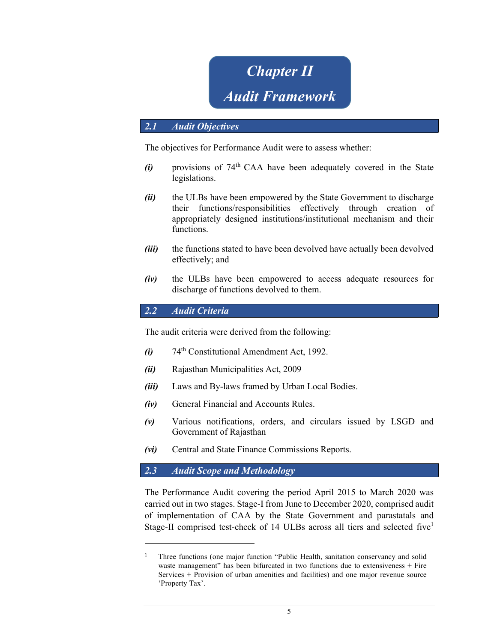# **Chapter II** Audit Framework

## 2.1 Audit Objectives

The objectives for Performance Audit were to assess whether:

- $(i)$  provisions of 74<sup>th</sup> CAA have been adequately covered in the State legislations.
- (ii) the ULBs have been empowered by the State Government to discharge their functions/responsibilities effectively through creation of appropriately designed institutions/institutional mechanism and their functions.
- (*iii*) the functions stated to have been devolved have actually been devolved effectively; and
- (iv) the ULBs have been empowered to access adequate resources for discharge of functions devolved to them.

2.2 Audit Criteria

The audit criteria were derived from the following:

- $(i)$  74<sup>th</sup> Constitutional Amendment Act, 1992.
- (ii) Rajasthan Municipalities Act, 2009
- (iii) Laws and By-laws framed by Urban Local Bodies.
- (iv) General Financial and Accounts Rules.
- (v) Various notifications, orders, and circulars issued by LSGD and Government of Rajasthan
- (vi) Central and State Finance Commissions Reports.

#### 2.3 Audit Scope and Methodology

The Performance Audit covering the period April 2015 to March 2020 was carried out in two stages. Stage-I from June to December 2020, comprised audit of implementation of CAA by the State Government and parastatals and Stage-II comprised test-check of 14 ULBs across all tiers and selected five<sup>1</sup>

<sup>1</sup> Three functions (one major function "Public Health, sanitation conservancy and solid waste management" has been bifurcated in two functions due to extensiveness + Fire Services + Provision of urban amenities and facilities) and one major revenue source 'Property Tax'.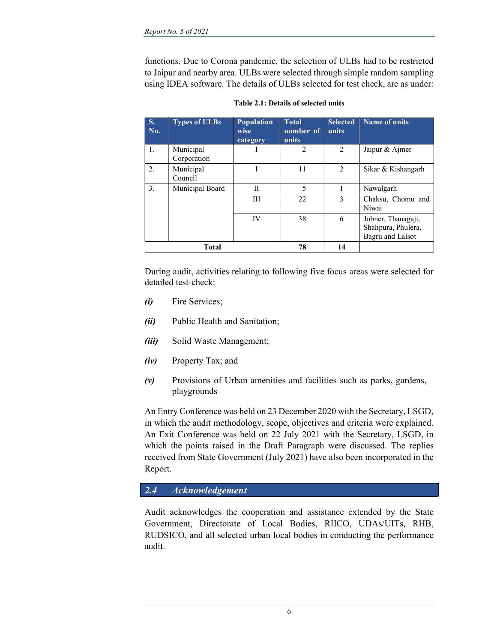functions. Due to Corona pandemic, the selection of ULBs had to be restricted to Jaipur and nearby area. ULBs were selected through simple random sampling using IDEA software. The details of ULBs selected for test check, are as under:

| S.<br>No. | <b>Types of ULBs</b>     | <b>Population</b><br>wise<br>category | <b>Total</b><br>number of<br>units | <b>Selected</b><br>units | Name of units                                                |
|-----------|--------------------------|---------------------------------------|------------------------------------|--------------------------|--------------------------------------------------------------|
| 1.        | Municipal<br>Corporation |                                       | 2                                  | 2                        | Jaipur & Ajmer                                               |
| 2.        | Municipal<br>Council     |                                       | 11                                 | $\mathfrak{D}$           | Sikar & Kishangarh                                           |
| 3.        | Municipal Board          | H                                     | 5                                  |                          | Nawalgarh                                                    |
|           |                          | Ш                                     | 22                                 | 3                        | Chaksu, Chomu and<br>Niwai                                   |
|           |                          | IV                                    | 38                                 | 6                        | Jobner, Thanagaji,<br>Shahpura, Phulera,<br>Bagru and Lalsot |
| Total     |                          |                                       | 78                                 | 14                       |                                                              |

Table 2.1: Details of selected units

During audit, activities relating to following five focus areas were selected for detailed test-check:

- (i) Fire Services;
- (ii) Public Health and Sanitation;
- (iii) Solid Waste Management;
- (iv) Property Tax; and
- $(v)$  Provisions of Urban amenities and facilities such as parks, gardens, playgrounds

An Entry Conference was held on 23 December 2020 with the Secretary, LSGD, in which the audit methodology, scope, objectives and criteria were explained. An Exit Conference was held on 22 July 2021 with the Secretary, LSGD, in which the points raised in the Draft Paragraph were discussed. The replies received from State Government (July 2021) have also been incorporated in the Report.

## 2.4 Acknowledgement

Audit acknowledges the cooperation and assistance extended by the State Government, Directorate of Local Bodies, RIICO, UDAs/UITs, RHB, RUDSICO, and all selected urban local bodies in conducting the performance audit.